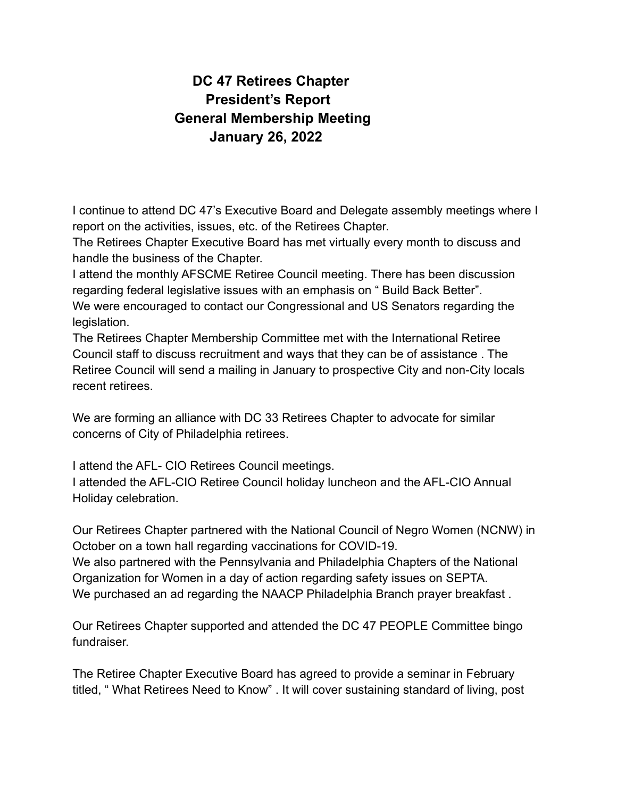## **DC 47 Retirees Chapter President's Report General Membership Meeting January 26, 2022**

I continue to attend DC 47's Executive Board and Delegate assembly meetings where I report on the activities, issues, etc. of the Retirees Chapter.

The Retirees Chapter Executive Board has met virtually every month to discuss and handle the business of the Chapter.

I attend the monthly AFSCME Retiree Council meeting. There has been discussion regarding federal legislative issues with an emphasis on " Build Back Better". We were encouraged to contact our Congressional and US Senators regarding the legislation.

The Retirees Chapter Membership Committee met with the International Retiree Council staff to discuss recruitment and ways that they can be of assistance . The Retiree Council will send a mailing in January to prospective City and non-City locals recent retirees.

We are forming an alliance with DC 33 Retirees Chapter to advocate for similar concerns of City of Philadelphia retirees.

I attend the AFL- CIO Retirees Council meetings. I attended the AFL-CIO Retiree Council holiday luncheon and the AFL-CIO Annual Holiday celebration.

Our Retirees Chapter partnered with the National Council of Negro Women (NCNW) in October on a town hall regarding vaccinations for COVID-19. We also partnered with the Pennsylvania and Philadelphia Chapters of the National Organization for Women in a day of action regarding safety issues on SEPTA. We purchased an ad regarding the NAACP Philadelphia Branch prayer breakfast .

Our Retirees Chapter supported and attended the DC 47 PEOPLE Committee bingo fundraiser.

The Retiree Chapter Executive Board has agreed to provide a seminar in February titled, " What Retirees Need to Know" . It will cover sustaining standard of living, post